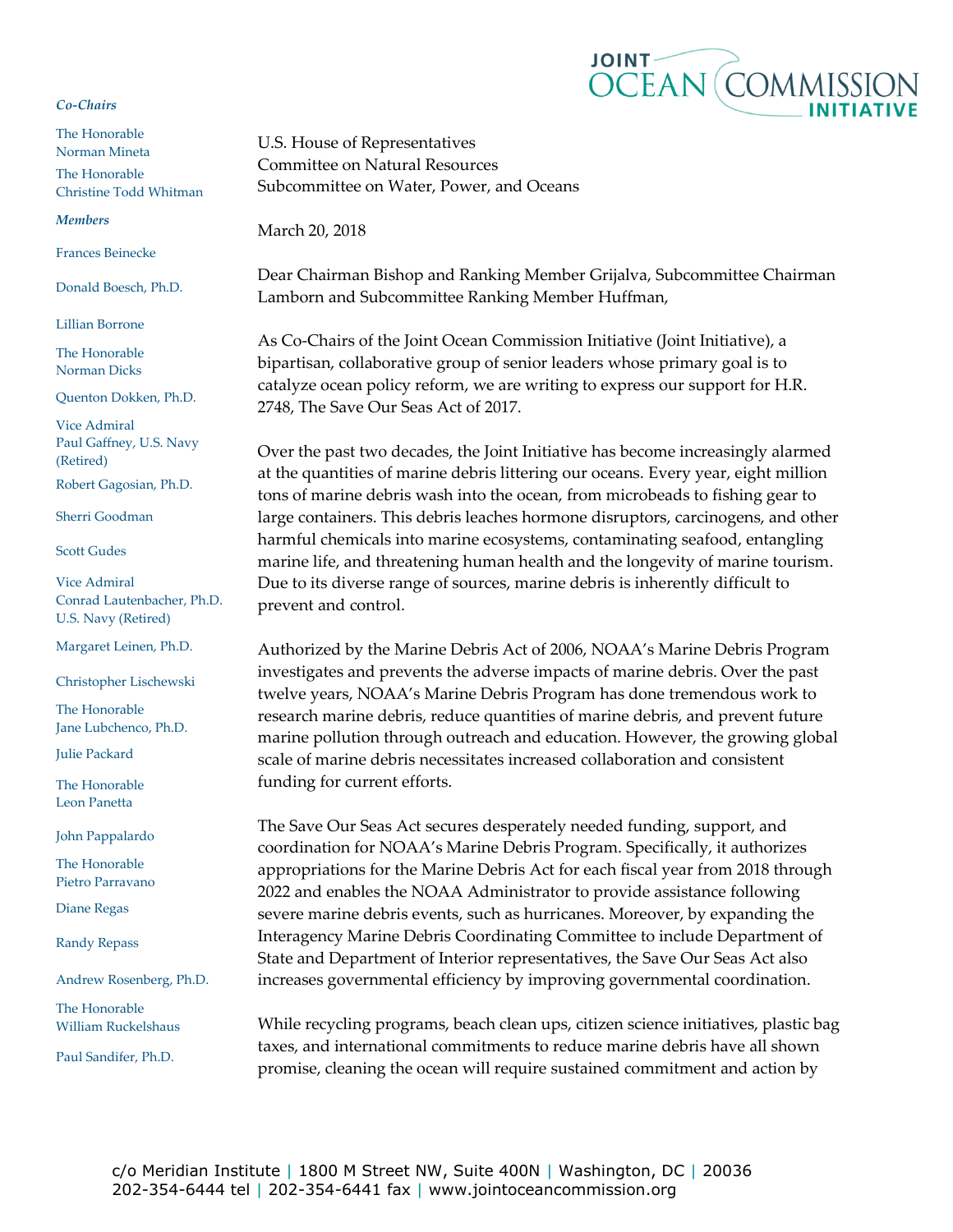## *Co-Chairs*

The Honorable Norman Mineta The Honorable Christine Todd Whitman

## *Members*

Frances Beinecke

Donald Boesch, Ph.D.

Lillian Borrone

The Honorable Norman Dicks

Quenton Dokken, Ph.D.

Vice Admiral Paul Gaffney, U.S. Navy (Retired) Robert Gagosian, Ph.D.

Sherri Goodman

## Scott Gudes

Vice Admiral Conrad Lautenbacher, Ph.D. U.S. Navy (Retired)

Margaret Leinen, Ph.D.

Christopher Lischewski

The Honorable Jane Lubchenco, Ph.D.

Julie Packard

The Honorable Leon Panetta

John Pappalardo

The Honorable Pietro Parravano

Diane Regas

Randy Repass

Andrew Rosenberg, Ph.D.

The Honorable William Ruckelshaus

Paul Sandifer, Ph.D.



U.S. House of Representatives Committee on Natural Resources Subcommittee on Water, Power, and Oceans

March 20, 2018

Dear Chairman Bishop and Ranking Member Grijalva, Subcommittee Chairman Lamborn and Subcommittee Ranking Member Huffman,

As Co-Chairs of the Joint Ocean Commission Initiative (Joint Initiative), a bipartisan, collaborative group of senior leaders whose primary goal is to catalyze ocean policy reform, we are writing to express our support for H.R. 2748, The Save Our Seas Act of 2017.

Over the past two decades, the Joint Initiative has become increasingly alarmed at the quantities of marine debris littering our oceans. Every year, eight million tons of marine debris wash into the ocean, from microbeads to fishing gear to large containers. This debris leaches hormone disruptors, carcinogens, and other harmful chemicals into marine ecosystems, contaminating seafood, entangling marine life, and threatening human health and the longevity of marine tourism. Due to its diverse range of sources, marine debris is inherently difficult to prevent and control.

Authorized by the Marine Debris Act of 2006, NOAA's Marine Debris Program investigates and prevents the adverse impacts of marine debris. Over the past twelve years, NOAA's Marine Debris Program has done tremendous work to research marine debris, reduce quantities of marine debris, and prevent future marine pollution through outreach and education. However, the growing global scale of marine debris necessitates increased collaboration and consistent funding for current efforts.

The Save Our Seas Act secures desperately needed funding, support, and coordination for NOAA's Marine Debris Program. Specifically, it authorizes appropriations for the Marine Debris Act for each fiscal year from 2018 through 2022 and enables the NOAA Administrator to provide assistance following severe marine debris events, such as hurricanes. Moreover, by expanding the Interagency Marine Debris Coordinating Committee to include Department of State and Department of Interior representatives, the Save Our Seas Act also increases governmental efficiency by improving governmental coordination.

While recycling programs, beach clean ups, citizen science initiatives, plastic bag taxes, and international commitments to reduce marine debris have all shown promise, cleaning the ocean will require sustained commitment and action by